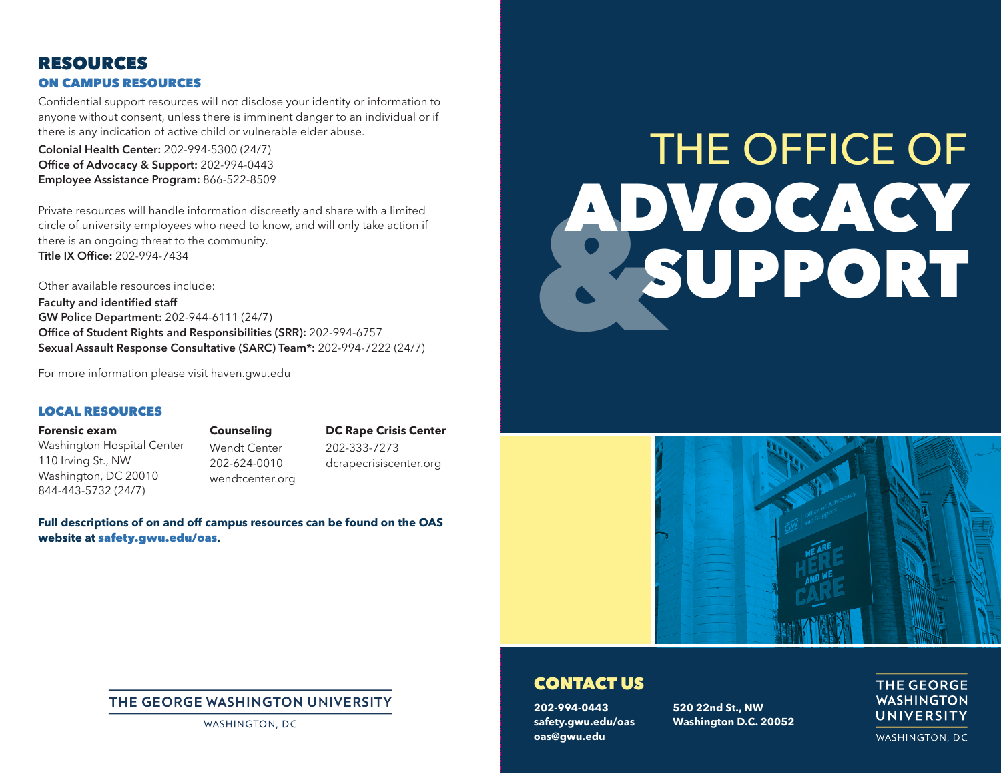## RESOURCES ON CAMPUS RESOURCES

Confidential support resources will not disclose your identity or information to anyone without consent, unless there is imminent danger to an individual or if there is any indication of active child or vulnerable elder abuse.

Colonial Health Center: 202-994-5300 (24/7) Office of Advocacy & Support: 202-994-0443 Employee Assistance Program: 866-522-8509

Private resources will handle information discreetly and share with a limited circle of university employees who need to know, and will only take action if there is an ongoing threat to the community. Title IX Office: 202-994-7434

Other available resources include: Faculty and identified staff GW Police Department: 202-944-6111 (24/7) Office of Student Rights and Responsibilities (SRR): 202-994-6757 Sexual Assault Response Consultative (SARC) Team\*: 202-994-7222 (24/7)

For more information please visit haven.gwu.edu

#### LOCAL RESOURCES

**Forensic exam** Washington Hospital Center 110 Irving St., NW Washington, DC 20010 844-443-5732 (24/7)

**Counseling** Wendt Center 202-624-0010 wendtcenter.org

**DC Rape Crisis Center** 202-333-7273 dcrapecrisiscenter.org

**Full descriptions of on and off campus resources can be found on the OAS website at** safety.gwu.edu/oas**.**

# **Buckley** THE OFFICE OF ADVOCACY SUPPORT



#### CONTACT US

**202-994-0443 safety.gwu.edu/oas oas@gwu.edu**

**520 22nd St., NW Washington D.C. 20052**

#### **THE GEORGE WASHINGTON** UNIVERSITY

WASHINGTON, DC

#### THE GEORGE WASHINGTON UNIVERSITY

WASHINGTON, DC